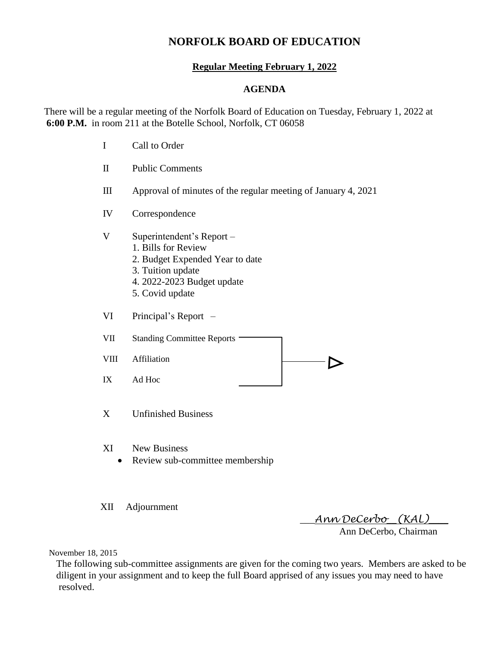# **NORFOLK BOARD OF EDUCATION**

## **Regular Meeting February 1, 2022**

### **AGENDA**

There will be a regular meeting of the Norfolk Board of Education on Tuesday, February 1, 2022 at **6:00 P.M.** in room 211 at the Botelle School, Norfolk, CT 06058

- I Call to Order II Public Comments III Approval of minutes of the regular meeting of January 4, 2021 IV Correspondence V Superintendent's Report – 1. Bills for Review 2. Budget Expended Year to date 3. Tuition update 4. 2022-2023 Budget update 5. Covid update VI Principal's Report – VII Standing Committee Reports -VIII Affiliation IX Ad Hoc X Unfinished Business
- XI New Business
	- Review sub-committee membership
- XII Adjournment

\_\_\_*Ann DeCerbo*\_\_*(KAL)*\_\_\_\_

Ann DeCerbo, Chairman

November 18, 2015

 The following sub-committee assignments are given for the coming two years. Members are asked to be diligent in your assignment and to keep the full Board apprised of any issues you may need to have resolved.